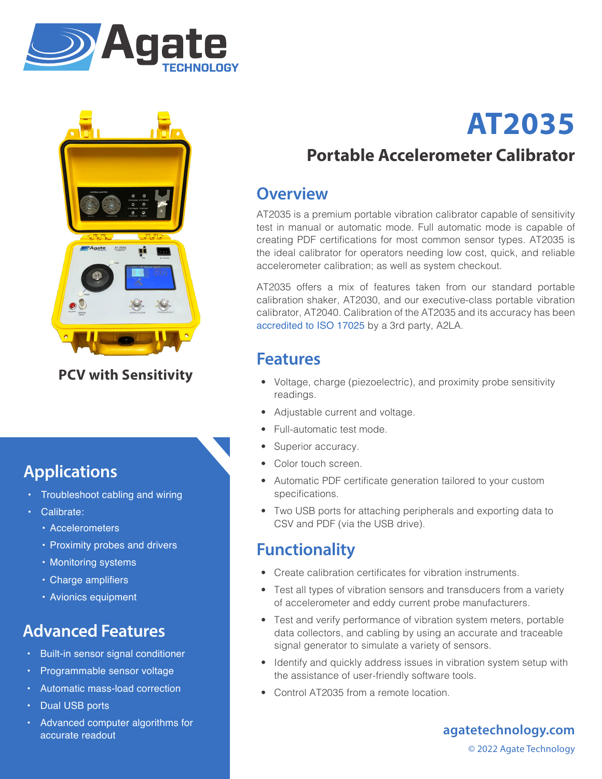



**PCV with Sensitivity**

# **Applications**

- Troubleshoot cabling and wiring
- Calibrate:
	- Accelerometers
	- Proximity probes and drivers
	- Monitoring systems
	- • Charge amplifiers
	- Avionics equipment

# **Advanced Features**

- Built-in sensor signal conditioner
- Programmable sensor voltage
- Automatic mass-load correction
- Dual USB ports
- Advanced computer algorithms for accurate readout

# **AT2035**

# **Portable Accelerometer Calibrator**

#### **Overview**

AT2035 is a premium portable vibration calibrator capable of sensitivity test in manual or automatic mode. Full automatic mode is capable of creating PDF certifications for most common sensor types. AT2035 is the ideal calibrator for operators needing low cost, quick, and reliable accelerometer calibration; as well as system checkout.

AT2035 offers a mix of features taken from our standard portable calibration shaker, AT2030, and our executive-class portable vibration calibrator, AT2040. Calibration of the AT2035 and its accuracy has been accredited to ISO 17025 by a 3rd party, A2LA.

### **Features**

- Voltage, charge (piezoelectric), and proximity probe sensitivity readings.
- Adjustable current and voltage.
- Full-automatic test mode.
- Superior accuracy.
- Color touch screen.
- Automatic PDF certificate generation tailored to your custom specifications.
- Two USB ports for attaching peripherals and exporting data to CSV and PDF (via the USB drive).

#### **Functionality**

- Create calibration certificates for vibration instruments.
- Test all types of vibration sensors and transducers from a variety of accelerometer and eddy current probe manufacturers.
- Test and verify performance of vibration system meters, portable data collectors, and cabling by using an accurate and traceable signal generator to simulate a variety of sensors.
- Identify and quickly address issues in vibration system setup with the assistance of user-friendly software tools.
- Control AT2035 from a remote location.

**agatetechnology.com** © 2022 Agate Technology